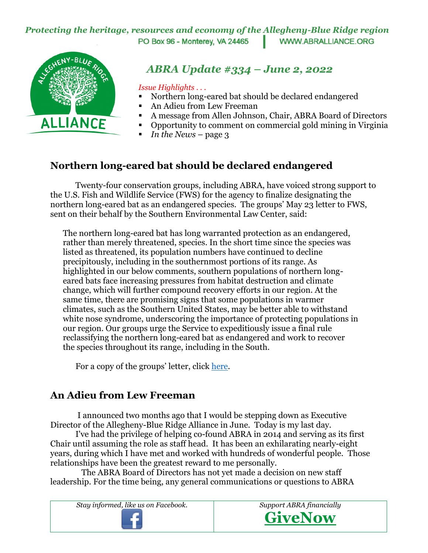*Protecting the heritage, resources and economy of the Allegheny-Blue Ridge region* PO Box 96 - Monterey, VA 24465 **WWW.ABRALLIANCE.ORG** 



 *ABRA Update #334 – June 2, 2022*

*Issue Highlights . . .* 

- Northern long-eared bat should be declared endangered
- An Adieu from Lew Freeman
- A message from Allen Johnson, Chair, ABRA Board of Directors
- Opportunity to comment on commercial gold mining in Virginia
- *In the News* page 3

## **Northern long-eared bat should be declared endangered**

Twenty-four conservation groups, including ABRA, have voiced strong support to the U.S. Fish and Wildlife Service (FWS) for the agency to finalize designating the northern long-eared bat as an endangered species. The groups' May 23 letter to FWS, sent on their behalf by the Southern Environmental Law Center, said:

The northern long-eared bat has long warranted protection as an endangered, rather than merely threatened, species. In the short time since the species was listed as threatened, its population numbers have continued to decline precipitously, including in the southernmost portions of its range. As highlighted in our below comments, southern populations of northern longeared bats face increasing pressures from habitat destruction and climate change, which will further compound recovery efforts in our region. At the same time, there are promising signs that some populations in warmer climates, such as the Southern United States, may be better able to withstand white nose syndrome, underscoring the importance of protecting populations in our region. Our groups urge the Service to expeditiously issue a final rule reclassifying the northern long-eared bat as endangered and work to recover the species throughout its range, including in the South.

For a copy of the groups' letter, click [here.](https://www.abralliance.org/wp-content/uploads/2022/06/SELC-ltr-on-northern-long-eared-bat-5-23-22.pdf)

# **An Adieu from Lew Freeman**

I announced two months ago that I would be stepping down as Executive Director of the Allegheny-Blue Ridge Alliance in June. Today is my last day.

I've had the privilege of helping co-found ABRA in 2014 and serving as its first Chair until assuming the role as staff head. It has been an exhilarating nearly-eight years, during which I have met and worked with hundreds of wonderful people. Those relationships have been the greatest reward to me personally.

The ABRA Board of Directors has not yet made a decision on new staff leadership. For the time being, any general communications or questions to ABRA



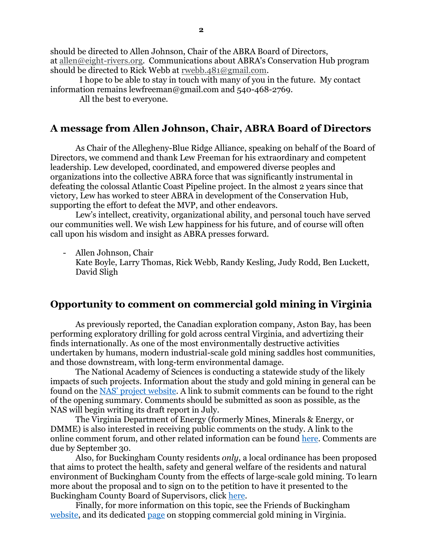should be directed to Allen Johnson, Chair of the ABRA Board of Directors, at [allen@eight-rivers.org.](mailto:allen@eight-rivers.org) Communications about ABRA's Conservation Hub program should be directed to Rick Webb at [rwebb.481@gmail.com.](mailto:rwebb.481@gmail.com)

I hope to be able to stay in touch with many of you in the future. My contact information remains lewfreeman@gmail.com and 540-468-2769.

All the best to everyone.

#### **A message from Allen Johnson, Chair, ABRA Board of Directors**

As Chair of the Allegheny-Blue Ridge Alliance, speaking on behalf of the Board of Directors, we commend and thank Lew Freeman for his extraordinary and competent leadership. Lew developed, coordinated, and empowered diverse peoples and organizations into the collective ABRA force that was significantly instrumental in defeating the colossal Atlantic Coast Pipeline project. In the almost 2 years since that victory, Lew has worked to steer ABRA in development of the Conservation Hub, supporting the effort to defeat the MVP, and other endeavors.

Lew's intellect, creativity, organizational ability, and personal touch have served our communities well. We wish Lew happiness for his future, and of course will often call upon his wisdom and insight as ABRA presses forward.

- Allen Johnson, Chair Kate Boyle, Larry Thomas, Rick Webb, Randy Kesling, Judy Rodd, Ben Luckett, David Sligh

#### **Opportunity to comment on commercial gold mining in Virginia**

As previously reported, the Canadian exploration company, Aston Bay, has been performing exploratory drilling for gold across central Virginia, and advertizing their finds internationally. As one of the most environmentally destructive activities undertaken by humans, modern industrial-scale gold mining saddles host communities, and those downstream, with long-term environmental damage.

The National Academy of Sciences is conducting a statewide study of the likely impacts of such projects. Information about the study and gold mining in general can be found on the [NAS' project](https://www.nationalacademies.org/our-work/potential-impacts-of-gold-mining-in-virginia#sectionUpcomingEvents) website. A link to submit comments can be found to the right of the opening summary. Comments should be submitted as soon as possible, as the NAS will begin writing its draft report in July.

The Virginia Department of Energy (formerly Mines, Minerals & Energy, or DMME) is also interested in receiving public comments on the study. A link to the online comment forum, and other related information can be found [here.](https://townhall.virginia.gov/l/ViewNotice.cfm?GNID=2368&fbclid=IwAR3J6VMMgahMXxytXLOtAnrygTkAe27WezrgRqHOIf5UnobUnTxV4J3FsE4) Comments are due by September 30.

Also, for Buckingham County residents *only*, a local ordinance has been proposed that aims to protect the health, safety and general welfare of the residents and natural environment of Buckingham County from the effects of large-scale gold mining. To learn more about the proposal and to sign on to the petition to have it presented to the Buckingham County Board of Supervisors, click [here.](https://actionnetwork.org/petitions/petition-for-a-buckingham-community-rights-ordinance?source=direct_link)

Finally, for more information on this topic, see the Friends of Buckingham [website,](https://www.friendsofbuckinghamva.org/friends/) and its dedicated [page](https://www.friendsofbuckinghamva.org/friends/ban-gold-mining/) on stopping commercial gold mining in Virginia.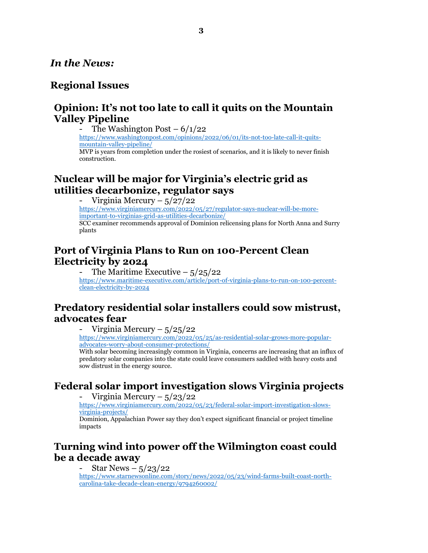#### *In the News:*

#### **Regional Issues**

#### **Opinion: It's not too late to call it quits on the Mountain Valley Pipeline**

The Washington Post  $- 6/1/22$ 

[https://www.washingtonpost.com/opinions/2022/06/01/its-not-too-late-call-it-quits](https://www.washingtonpost.com/opinions/2022/06/01/its-not-too-late-call-it-quits-mountain-valley-pipeline/)[mountain-valley-pipeline/](https://www.washingtonpost.com/opinions/2022/06/01/its-not-too-late-call-it-quits-mountain-valley-pipeline/)

MVP is years from completion under the rosiest of scenarios, and it is likely to never finish construction.

# **Nuclear will be major for Virginia's electric grid as utilities decarbonize, regulator says**

Virginia Mercury –  $5/27/22$ 

[https://www.virginiamercury.com/2022/05/27/regulator-says-nuclear-will-be-more](https://www.virginiamercury.com/2022/05/27/regulator-says-nuclear-will-be-more-important-to-virginias-grid-as-utilities-decarbonize/)[important-to-virginias-grid-as-utilities-decarbonize/](https://www.virginiamercury.com/2022/05/27/regulator-says-nuclear-will-be-more-important-to-virginias-grid-as-utilities-decarbonize/) SCC examiner recommends approval of Dominion relicensing plans for North Anna and Surry plants

#### **Port of Virginia Plans to Run on 100-Percent Clean Electricity by 2024**

The Maritime Executive  $-5/25/22$ [https://www.maritime-executive.com/article/port-of-virginia-plans-to-run-on-100-percent](https://www.maritime-executive.com/article/port-of-virginia-plans-to-run-on-100-percent-clean-electricity-by-2024)[clean-electricity-by-2024](https://www.maritime-executive.com/article/port-of-virginia-plans-to-run-on-100-percent-clean-electricity-by-2024)

# **Predatory residential solar installers could sow mistrust, advocates fear**

Virginia Mercury –  $5/25/22$ 

[https://www.virginiamercury.com/2022/05/25/as-residential-solar-grows-more-popular](https://www.virginiamercury.com/2022/05/25/as-residential-solar-grows-more-popular-advocates-worry-about-consumer-protections/)[advocates-worry-about-consumer-protections/](https://www.virginiamercury.com/2022/05/25/as-residential-solar-grows-more-popular-advocates-worry-about-consumer-protections/)

With solar becoming increasingly common in Virginia, concerns are increasing that an influx of predatory solar companies into the state could leave consumers saddled with heavy costs and sow distrust in the energy source.

# **Federal solar import investigation slows Virginia projects**

Virginia Mercury –  $5/23/22$ 

[https://www.virginiamercury.com/2022/05/23/federal-solar-import-investigation-slows](https://www.virginiamercury.com/2022/05/23/federal-solar-import-investigation-slows-virginia-projects/)[virginia-projects/](https://www.virginiamercury.com/2022/05/23/federal-solar-import-investigation-slows-virginia-projects/)

Dominion, Appalachian Power say they don't expect significant financial or project timeline impacts

## **Turning wind into power off the Wilmington coast could be a decade away**

Star News  $-$  5/23/22

[https://www.starnewsonline.com/story/news/2022/05/23/wind-farms-built-coast-north](https://www.starnewsonline.com/story/news/2022/05/23/wind-farms-built-coast-north-carolina-take-decade-clean-energy/9794260002/)[carolina-take-decade-clean-energy/9794260002/](https://www.starnewsonline.com/story/news/2022/05/23/wind-farms-built-coast-north-carolina-take-decade-clean-energy/9794260002/)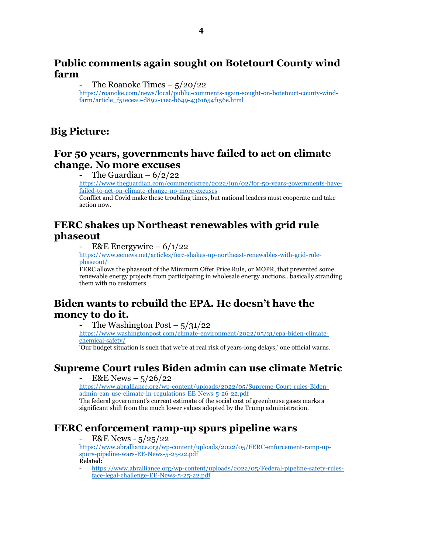#### **Public comments again sought on Botetourt County wind farm**

The Roanoke Times  $-$  5/20/22 [https://roanoke.com/news/local/public-comments-again-sought-on-botetourt-county-wind](https://roanoke.com/news/local/public-comments-again-sought-on-botetourt-county-wind-farm/article_f51ecea0-d892-11ec-b649-4361654f156e.html)[farm/article\\_f51ecea0-d892-11ec-b649-4361654f156e.html](https://roanoke.com/news/local/public-comments-again-sought-on-botetourt-county-wind-farm/article_f51ecea0-d892-11ec-b649-4361654f156e.html)

# **Big Picture:**

#### **For 50 years, governments have failed to act on climate change. No more excuses**

The Guardian  $- 6/2/22$ 

[https://www.theguardian.com/commentisfree/2022/jun/02/for-50-years-governments-have](https://www.theguardian.com/commentisfree/2022/jun/02/for-50-years-governments-have-failed-to-act-on-climate-change-no-more-excuses)[failed-to-act-on-climate-change-no-more-excuses](https://www.theguardian.com/commentisfree/2022/jun/02/for-50-years-governments-have-failed-to-act-on-climate-change-no-more-excuses)

Conflict and Covid make these troubling times, but national leaders must cooperate and take action now.

## **FERC shakes up Northeast renewables with grid rule phaseout**

E&E Energywire –  $6/1/22$ 

[https://www.eenews.net/articles/ferc-shakes-up-northeast-renewables-with-grid-rule](https://www.eenews.net/articles/ferc-shakes-up-northeast-renewables-with-grid-rule-phaseout/)[phaseout/](https://www.eenews.net/articles/ferc-shakes-up-northeast-renewables-with-grid-rule-phaseout/)

FERC allows the phaseout of the Minimum Offer Price Rule, or MOPR, that prevented some renewable energy projects from participating in wholesale energy auctions...basically stranding them with no customers.

# **Biden wants to rebuild the EPA. He doesn't have the money to do it.**

The Washington Post  $-$  5/31/22

[https://www.washingtonpost.com/climate-environment/2022/05/31/epa-biden-climate](https://www.washingtonpost.com/climate-environment/2022/05/31/epa-biden-climate-chemical-safety/)[chemical-safety/](https://www.washingtonpost.com/climate-environment/2022/05/31/epa-biden-climate-chemical-safety/)

'Our budget situation is such that we're at real risk of years-long delays,' one official warns.

# **Supreme Court rules Biden admin can use climate Metric**

 $E&E$  News – 5/26/22

[https://www.abralliance.org/wp-content/uploads/2022/05/Supreme-Court-rules-Biden](https://www.abralliance.org/wp-content/uploads/2022/05/Supreme-Court-rules-Biden-admin-can-use-climate-in-regulations-EE-News-5-26-22.pdf)[admin-can-use-climate-in-regulations-EE-News-5-26-22.pdf](https://www.abralliance.org/wp-content/uploads/2022/05/Supreme-Court-rules-Biden-admin-can-use-climate-in-regulations-EE-News-5-26-22.pdf)

The federal government's current estimate of the social cost of greenhouse gases marks a significant shift from the much lower values adopted by the Trump administration.

# **FERC enforcement ramp-up spurs pipeline wars**

E&E News -  $5/25/22$ 

[https://www.abralliance.org/wp-content/uploads/2022/05/FERC-enforcement-ramp-up](https://www.abralliance.org/wp-content/uploads/2022/05/FERC-enforcement-ramp-up-spurs-pipeline-wars-EE-News-5-25-22.pdf)[spurs-pipeline-wars-EE-News-5-25-22.pdf](https://www.abralliance.org/wp-content/uploads/2022/05/FERC-enforcement-ramp-up-spurs-pipeline-wars-EE-News-5-25-22.pdf) Related:

- [https://www.abralliance.org/wp-content/uploads/2022/05/Federal-pipeline-safety-rules](https://www.abralliance.org/wp-content/uploads/2022/05/Federal-pipeline-safety-rules-face-legal-challenge-EE-News-5-25-22.pdf)[face-legal-challenge-EE-News-5-25-22.pdf](https://www.abralliance.org/wp-content/uploads/2022/05/Federal-pipeline-safety-rules-face-legal-challenge-EE-News-5-25-22.pdf)